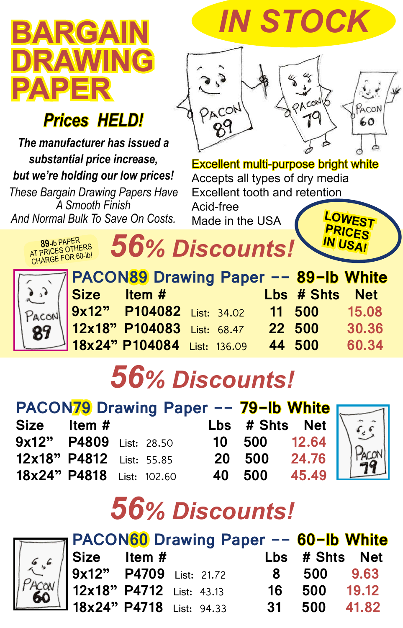## **BARGAIN RAWING PAPER**

#### *Prices HELD!*

*The manufacturer has issued a substantial price increase, but we're holding our low prices! These Bargain Drawing Papers Have* 

*A Smooth Finish And Normal Bulk To Save On Costs.*



Excellent multi-purpose bright white Accepts all types of dry media Excellent tooth and retention Acid-free **LOWEST** 

**PRICES IN USA!**

Made in the USA



**89-**<sup>1</sup>b PAPER<br>AT PRICES OTHERS

| <b>PACON89 Drawing Paper -- 89-Ib White</b> |  |                |       |
|---------------------------------------------|--|----------------|-------|
|                                             |  | Lbs # Shts Net |       |
| Size Item #<br>9x12" P104082 List: 34.02    |  | 11 500         | 15.08 |
| 12x18" P104083 List: 68.47                  |  | 22 500         | 30.36 |
| 18x24" P104084 List: 136.09                 |  | 44 500         | 60.34 |

# *56% Discounts!*

*56% Discounts!*

| PACON79 Drawing Paper -- 79-Ib White |  |  |  |  |                |       |
|--------------------------------------|--|--|--|--|----------------|-------|
| Size Item #                          |  |  |  |  | Lbs # Shts Net |       |
| 9x12" P4809 List: 28.50              |  |  |  |  | 10 500 12.64   |       |
| 12x18" P4812 List: 55.85             |  |  |  |  | 20 500         | 24.76 |
| 18x24" P4818 List: 102.60            |  |  |  |  | 40 500         | 45.49 |





| <b>PACON<mark>60</mark></b> Drawing Paper -- <mark>60-lb White</mark><br>Size Item # Lbs # Shts Net<br>9x12" P4709 List: 21.72 8 500 9.63 |  |    |              |  |
|-------------------------------------------------------------------------------------------------------------------------------------------|--|----|--------------|--|
|                                                                                                                                           |  |    |              |  |
|                                                                                                                                           |  |    |              |  |
| 12x18" P4712 List: 43.13<br>18x24" P4718 List: 94.33                                                                                      |  | 16 | 500 19.12    |  |
|                                                                                                                                           |  |    | 31 500 41.82 |  |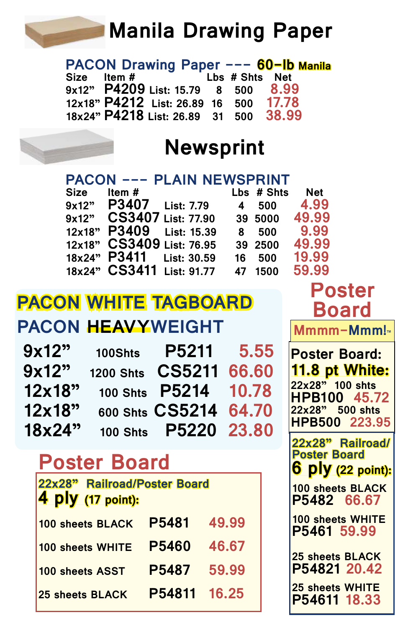### **Manila Drawing Paper**

 **PACON Drawing Paper --- 60-lb Manila Size Item # Lbs # Shts Net 9x12" P4209 List: 15.79 8 500 8.99 12x18" P4212 List: 26.89 16 500 17.78 18x24" P4218** List: 26.89

#### **Newsprint**

|             |                           | <b>PACON --- PLAIN NEWSPRINT</b> |    |            |            |
|-------------|---------------------------|----------------------------------|----|------------|------------|
| <b>Size</b> | Item#                     |                                  |    | Lbs # Shts | <b>Net</b> |
| 9x12"       | P3407                     | <b>List: 7.79</b>                | 4  | 500        | 4.99       |
| 9x12"       | <b>CS3407</b>             | <b>List: 77.90</b>               |    | 39 5000    | 49.99      |
| 12x18"      | P3409                     | <b>List: 15.39</b>               | 8  | 500        | 9.99       |
| 12x18"      |                           | CS3409 List: 76.95               |    | 39 2500    | 49.99      |
| 18x24"      | P3411                     | <b>List: 30.59</b>               | 16 | 500        | 19.99      |
|             | 18x24" CS3411 List: 91.77 |                                  | 47 | 1500       | 59.99      |
|             |                           |                                  |    |            |            |

#### **PACON WHITE TAGBOARD PACON HEAVYWEIGHT**

| 9x12"  | 100Shts          | P5211           | 5.55  |
|--------|------------------|-----------------|-------|
| 9x12"  | <b>1200 Shts</b> | <b>CS5211</b>   | 66.60 |
| 12x18" |                  | 100 Shts P5214  | 10.78 |
| 12x18" |                  | 600 Shts CS5214 | 64.70 |
| 18x24" | <b>100 Shts</b>  | P5220 23.80     |       |

#### **Poster Board**

| 22x28" Railroad/Poster Board<br>4 ply (17 point): |              |       |  |  |  |
|---------------------------------------------------|--------------|-------|--|--|--|
| 100 sheets BLACK                                  | P5481        | 49.99 |  |  |  |
| 100 sheets WHITE                                  | P5460        | 46.67 |  |  |  |
| 100 sheets ASST                                   | P5487        | 59.99 |  |  |  |
| <b>25 sheets BLACK</b>                            | P54811 16.25 |       |  |  |  |

**Poster Board: 11.8 pt White: 22x28" 100 shts HPB100 45.72 22x28" 500 shts HPB500 223.95 Mmmm-Mmm!™ Poster 22x28" Railroad/ Poster Board 6 ply (22 point): 100 sheets BLACK P5482 66.67 100 sheets WHITE P5461 59.99 25 sheets BLACK P54821 20.42 25 sheets WHITE**

**P54611 18.33**